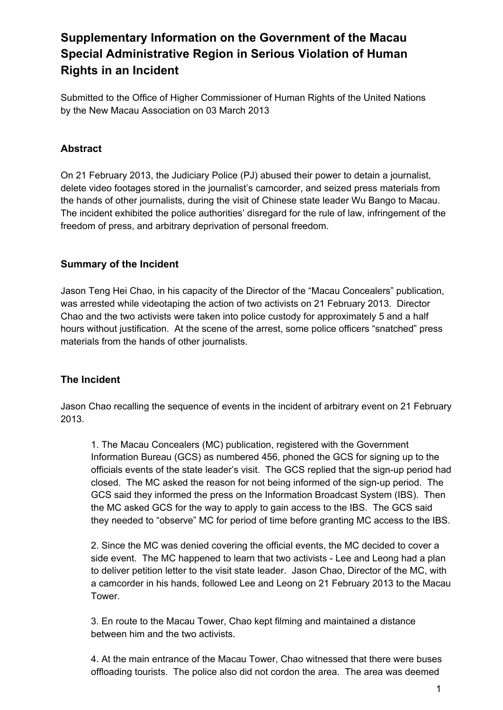# **Supplementary Information on the Government of the Macau Special Administrative Region in Serious Violation of Human Rights in an Incident**

Submitted to the Office of Higher Commissioner of Human Rights of the United Nations by the New Macau Association on 03 March 2013

# **Abstract**

On 21 February 2013, the Judiciary Police (PJ) abused their power to detain a journalist, delete video footages stored in the journalist's camcorder, and seized press materials from the hands of other journalists, during the visit of Chinese state leader Wu Bango to Macau. The incident exhibited the police authorities' disregard for the rule of law, infringement of the freedom of press, and arbitrary deprivation of personal freedom.

# **Summary of the Incident**

Jason Teng Hei Chao, in his capacity of the Director of the "Macau Concealers" publication, was arrested while videotaping the action of two activists on 21 February 2013. Director Chao and the two activists were taken into police custody for approximately 5 and a half hours without justification. At the scene of the arrest, some police officers "snatched" press materials from the hands of other journalists.

# **The Incident**

Jason Chao recalling the sequence of events in the incident of arbitrary event on 21 February 2013.

1. The Macau Concealers (MC) publication, registered with the Government Information Bureau (GCS) as numbered 456, phoned the GCS for signing up to the officials events of the state leader's visit. The GCS replied that the sign-up period had closed. The MC asked the reason for not being informed of the sign-up period. The GCS said they informed the press on the Information Broadcast System (IBS). Then the MC asked GCS for the way to apply to gain access to the IBS. The GCS said they needed to "observe" MC for period of time before granting MC access to the IBS.

2. Since the MC was denied covering the official events, the MC decided to cover a side event. The MC happened to learn that two activists - Lee and Leong had a plan to deliver petition letter to the visit state leader. Jason Chao, Director of the MC, with a camcorder in his hands, followed Lee and Leong on 21 February 2013 to the Macau Tower.

3. En route to the Macau Tower, Chao kept filming and maintained a distance between him and the two activists.

4. At the main entrance of the Macau Tower, Chao witnessed that there were buses offloading tourists. The police also did not cordon the area. The area was deemed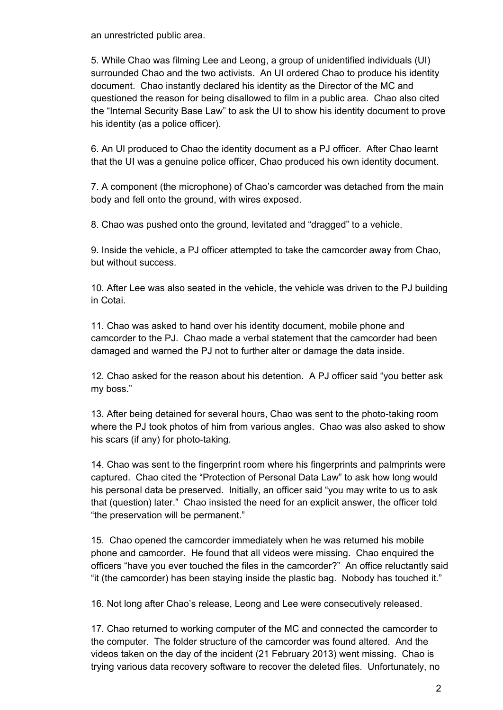an unrestricted public area.

5. While Chao was filming Lee and Leong, a group of unidentified individuals (UI) surrounded Chao and the two activists. An UI ordered Chao to produce his identity document. Chao instantly declared his identity as the Director of the MC and questioned the reason for being disallowed to film in a public area. Chao also cited the "Internal Security Base Law" to ask the UI to show his identity document to prove his identity (as a police officer).

6. An UI produced to Chao the identity document as a PJ officer. After Chao learnt that the UI was a genuine police officer, Chao produced his own identity document.

7. A component (the microphone) of Chao's camcorder was detached from the main body and fell onto the ground, with wires exposed.

8. Chao was pushed onto the ground, levitated and "dragged" to a vehicle.

9. Inside the vehicle, a PJ officer attempted to take the camcorder away from Chao, but without success.

10. After Lee was also seated in the vehicle, the vehicle was driven to the PJ building in Cotai.

11. Chao was asked to hand over his identity document, mobile phone and camcorder to the PJ. Chao made a verbal statement that the camcorder had been damaged and warned the PJ not to further alter or damage the data inside.

12. Chao asked for the reason about his detention. A PJ officer said "you better ask my boss."

13. After being detained for several hours, Chao was sent to the photo-taking room where the PJ took photos of him from various angles. Chao was also asked to show his scars (if any) for photo-taking.

14. Chao was sent to the fingerprint room where his fingerprints and palmprints were captured. Chao cited the "Protection of Personal Data Law" to ask how long would his personal data be preserved. Initially, an officer said "you may write to us to ask that (question) later." Chao insisted the need for an explicit answer, the officer told "the preservation will be permanent."

15. Chao opened the camcorder immediately when he was returned his mobile phone and camcorder. He found that all videos were missing. Chao enquired the officers "have you ever touched the files in the camcorder?" An office reluctantly said "it (the camcorder) has been staying inside the plastic bag. Nobody has touched it."

16. Not long after Chao's release, Leong and Lee were consecutively released.

17. Chao returned to working computer of the MC and connected the camcorder to the computer. The folder structure of the camcorder was found altered. And the videos taken on the day of the incident (21 February 2013) went missing. Chao is trying various data recovery software to recover the deleted files. Unfortunately, no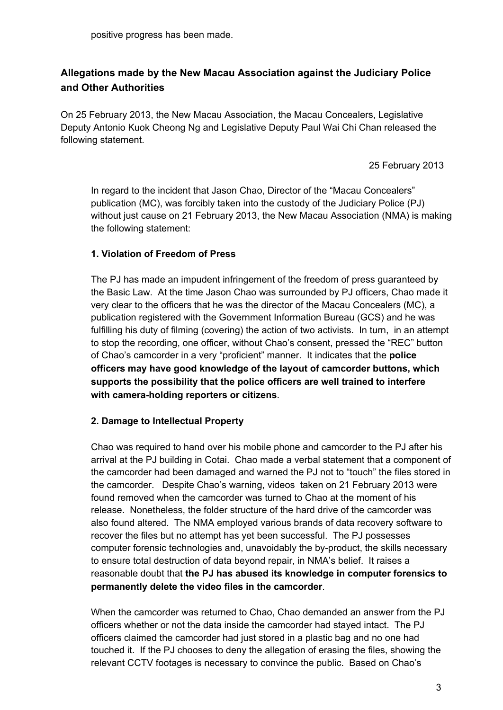# **Allegations made by the New Macau Association against the Judiciary Police and Other Authorities**

On 25 February 2013, the New Macau Association, the Macau Concealers, Legislative Deputy Antonio Kuok Cheong Ng and Legislative Deputy Paul Wai Chi Chan released the following statement.

25 February 2013

In regard to the incident that Jason Chao, Director of the "Macau Concealers" publication (MC), was forcibly taken into the custody of the Judiciary Police (PJ) without just cause on 21 February 2013, the New Macau Association (NMA) is making the following statement:

#### **1. Violation of Freedom of Press**

The PJ has made an impudent infringement of the freedom of press guaranteed by the Basic Law. At the time Jason Chao was surrounded by PJ officers, Chao made it very clear to the officers that he was the director of the Macau Concealers (MC), a publication registered with the Government Information Bureau (GCS) and he was fulfilling his duty of filming (covering) the action of two activists. In turn, in an attempt to stop the recording, one officer, without Chao's consent, pressed the "REC" button of Chao's camcorder in a very "proficient" manner. It indicates that the **police officers may have good knowledge of the layout of camcorder buttons, which supports the possibility that the police officers are well trained to interfere with cameraholding reporters or citizens**.

#### **2. Damage to Intellectual Property**

Chao was required to hand over his mobile phone and camcorder to the PJ after his arrival at the PJ building in Cotai. Chao made a verbal statement that a component of the camcorder had been damaged and warned the PJ not to "touch" the files stored in the camcorder. Despite Chao's warning, videos taken on 21 February 2013 were found removed when the camcorder was turned to Chao at the moment of his release. Nonetheless, the folder structure of the hard drive of the camcorder was also found altered. The NMA employed various brands of data recovery software to recover the files but no attempt has yet been successful. The PJ possesses computer forensic technologies and, unavoidably the by-product, the skills necessary to ensure total destruction of data beyond repair, in NMA's belief. It raises a reasonable doubt that **the PJ has abused its knowledge in computer forensics to permanently delete the video files in the camcorder**.

When the camcorder was returned to Chao, Chao demanded an answer from the PJ officers whether or not the data inside the camcorder had stayed intact. The PJ officers claimed the camcorder had just stored in a plastic bag and no one had touched it. If the PJ chooses to deny the allegation of erasing the files, showing the relevant CCTV footages is necessary to convince the public. Based on Chao's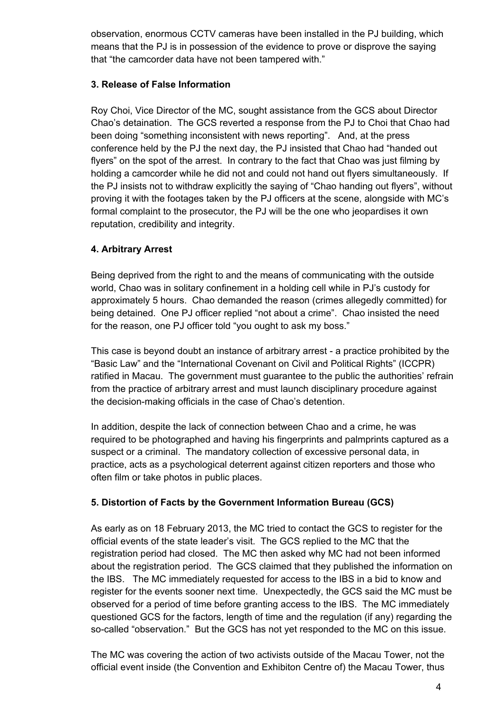observation, enormous CCTV cameras have been installed in the PJ building, which means that the PJ is in possession of the evidence to prove or disprove the saying that "the camcorder data have not been tampered with."

#### **3. Release of False Information**

Roy Choi, Vice Director of the MC, sought assistance from the GCS about Director Chao's detaination. The GCS reverted a response from the PJ to Choi that Chao had been doing "something inconsistent with news reporting". And, at the press conference held by the PJ the next day, the PJ insisted that Chao had "handed out flyers" on the spot of the arrest. In contrary to the fact that Chao was just filming by holding a camcorder while he did not and could not hand out flyers simultaneously. If the PJ insists not to withdraw explicitly the saying of "Chao handing out flyers", without proving it with the footages taken by the PJ officers at the scene, alongside with MC's formal complaint to the prosecutor, the PJ will be the one who jeopardises it own reputation, credibility and integrity.

# **4. Arbitrary Arrest**

Being deprived from the right to and the means of communicating with the outside world, Chao was in solitary confinement in a holding cell while in PJ's custody for approximately 5 hours. Chao demanded the reason (crimes allegedly committed) for being detained. One PJ officer replied "not about a crime". Chao insisted the need for the reason, one PJ officer told "you ought to ask my boss."

This case is beyond doubt an instance of arbitrary arrest a practice prohibited by the "Basic Law" and the "International Covenant on Civil and Political Rights" (ICCPR) ratified in Macau. The government must guarantee to the public the authorities' refrain from the practice of arbitrary arrest and must launch disciplinary procedure against the decision-making officials in the case of Chao's detention.

In addition, despite the lack of connection between Chao and a crime, he was required to be photographed and having his fingerprints and palmprints captured as a suspect or a criminal. The mandatory collection of excessive personal data, in practice, acts as a psychological deterrent against citizen reporters and those who often film or take photos in public places.

# **5. Distortion of Facts by the Government Information Bureau (GCS)**

As early as on 18 February 2013, the MC tried to contact the GCS to register for the official events of the state leader's visit. The GCS replied to the MC that the registration period had closed. The MC then asked why MC had not been informed about the registration period. The GCS claimed that they published the information on the IBS. The MC immediately requested for access to the IBS in a bid to know and register for the events sooner next time. Unexpectedly, the GCS said the MC must be observed for a period of time before granting access to the IBS. The MC immediately questioned GCS for the factors, length of time and the regulation (if any) regarding the so-called "observation." But the GCS has not yet responded to the MC on this issue.

The MC was covering the action of two activists outside of the Macau Tower, not the official event inside (the Convention and Exhibiton Centre of) the Macau Tower, thus